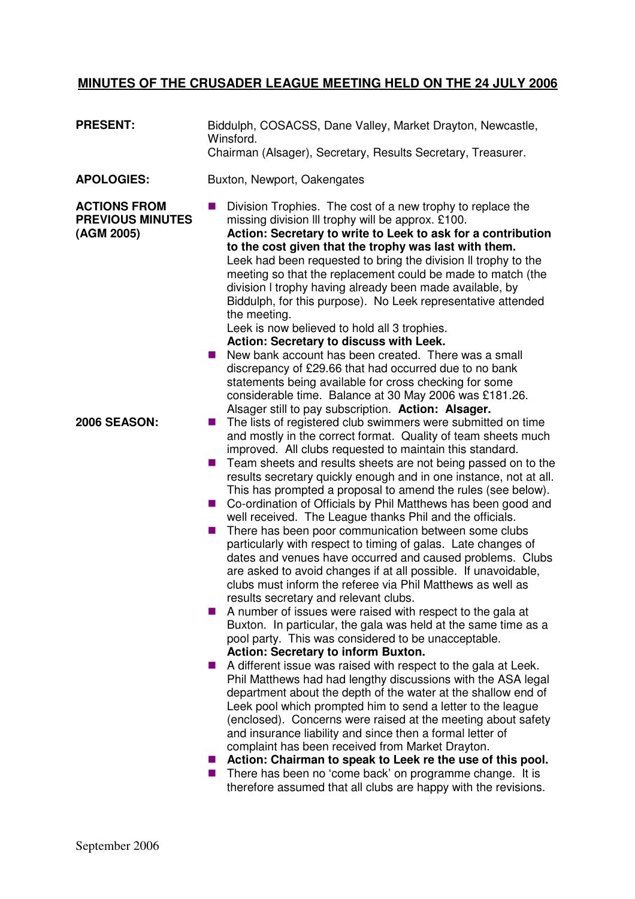## **MINUTES OF THE CRUSADER LEAGUE MEETING HELD ON THE 24 JULY 2006**

| <b>PRESENT:</b>                                              | Biddulph, COSACSS, Dane Valley, Market Drayton, Newcastle,<br>Winsford.<br>Chairman (Alsager), Secretary, Results Secretary, Treasurer.                                                                                                                                                                                                                                                                                                                                                                                                                                                                                                                                                                                                                                                                                                                                                                                                                                                                                                                                                                                                                                                                                                                                                                                                                                                                                                                                  |  |  |
|--------------------------------------------------------------|--------------------------------------------------------------------------------------------------------------------------------------------------------------------------------------------------------------------------------------------------------------------------------------------------------------------------------------------------------------------------------------------------------------------------------------------------------------------------------------------------------------------------------------------------------------------------------------------------------------------------------------------------------------------------------------------------------------------------------------------------------------------------------------------------------------------------------------------------------------------------------------------------------------------------------------------------------------------------------------------------------------------------------------------------------------------------------------------------------------------------------------------------------------------------------------------------------------------------------------------------------------------------------------------------------------------------------------------------------------------------------------------------------------------------------------------------------------------------|--|--|
| <b>APOLOGIES:</b>                                            | Buxton, Newport, Oakengates                                                                                                                                                                                                                                                                                                                                                                                                                                                                                                                                                                                                                                                                                                                                                                                                                                                                                                                                                                                                                                                                                                                                                                                                                                                                                                                                                                                                                                              |  |  |
| <b>ACTIONS FROM</b><br><b>PREVIOUS MINUTES</b><br>(AGM 2005) | Division Trophies. The cost of a new trophy to replace the<br>ш<br>missing division III trophy will be approx. £100.<br>Action: Secretary to write to Leek to ask for a contribution<br>to the cost given that the trophy was last with them.<br>Leek had been requested to bring the division II trophy to the<br>meeting so that the replacement could be made to match (the<br>division I trophy having already been made available, by<br>Biddulph, for this purpose). No Leek representative attended<br>the meeting.<br>Leek is now believed to hold all 3 trophies.<br>Action: Secretary to discuss with Leek.<br>New bank account has been created. There was a small<br>ш                                                                                                                                                                                                                                                                                                                                                                                                                                                                                                                                                                                                                                                                                                                                                                                       |  |  |
|                                                              | discrepancy of £29.66 that had occurred due to no bank<br>statements being available for cross checking for some<br>considerable time. Balance at 30 May 2006 was £181.26.                                                                                                                                                                                                                                                                                                                                                                                                                                                                                                                                                                                                                                                                                                                                                                                                                                                                                                                                                                                                                                                                                                                                                                                                                                                                                               |  |  |
| <b>2006 SEASON:</b>                                          | Alsager still to pay subscription. Action: Alsager.<br>The lists of registered club swimmers were submitted on time<br>and mostly in the correct format. Quality of team sheets much<br>improved. All clubs requested to maintain this standard.<br>Team sheets and results sheets are not being passed on to the<br>results secretary quickly enough and in one instance, not at all.<br>This has prompted a proposal to amend the rules (see below).<br>Co-ordination of Officials by Phil Matthews has been good and<br>ш<br>well received. The League thanks Phil and the officials.<br>There has been poor communication between some clubs<br>ш<br>particularly with respect to timing of galas. Late changes of<br>dates and venues have occurred and caused problems. Clubs<br>are asked to avoid changes if at all possible. If unavoidable,<br>clubs must inform the referee via Phil Matthews as well as<br>results secretary and relevant clubs.<br>A number of issues were raised with respect to the gala at<br>Buxton. In particular, the gala was held at the same time as a<br>pool party. This was considered to be unacceptable.<br><b>Action: Secretary to inform Buxton.</b><br>A different issue was raised with respect to the gala at Leek.<br>ш<br>Phil Matthews had had lengthy discussions with the ASA legal<br>department about the depth of the water at the shallow end of<br>Leek pool which prompted him to send a letter to the league |  |  |
|                                                              | (enclosed). Concerns were raised at the meeting about safety<br>and insurance liability and since then a formal letter of<br>complaint has been received from Market Drayton.<br>■ Action: Chairman to speak to Leek re the use of this pool.<br>There has been no 'come back' on programme change. It is<br>therefore assumed that all clubs are happy with the revisions.                                                                                                                                                                                                                                                                                                                                                                                                                                                                                                                                                                                                                                                                                                                                                                                                                                                                                                                                                                                                                                                                                              |  |  |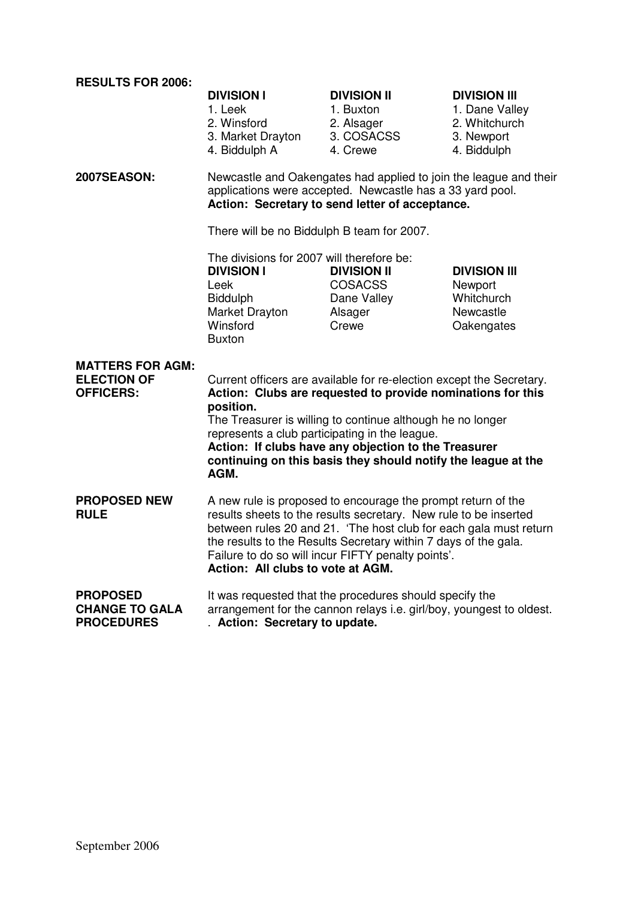| <b>RESULTS FOR 2006:</b>                                          |                                                                                                                                                                                                                                                                                                                                                                                                   |                                                                         |                                                                                     |  |
|-------------------------------------------------------------------|---------------------------------------------------------------------------------------------------------------------------------------------------------------------------------------------------------------------------------------------------------------------------------------------------------------------------------------------------------------------------------------------------|-------------------------------------------------------------------------|-------------------------------------------------------------------------------------|--|
|                                                                   | <b>DIVISION I</b><br>1. Leek<br>2. Winsford<br>3. Market Drayton<br>4. Biddulph A                                                                                                                                                                                                                                                                                                                 | <b>DIVISION II</b><br>1. Buxton<br>2. Alsager<br>3. COSACSS<br>4. Crewe | <b>DIVISION III</b><br>1. Dane Valley<br>2. Whitchurch<br>3. Newport<br>4. Biddulph |  |
| <b>2007SEASON:</b>                                                | Newcastle and Oakengates had applied to join the league and their<br>applications were accepted. Newcastle has a 33 yard pool.<br>Action: Secretary to send letter of acceptance.                                                                                                                                                                                                                 |                                                                         |                                                                                     |  |
|                                                                   | There will be no Biddulph B team for 2007.                                                                                                                                                                                                                                                                                                                                                        |                                                                         |                                                                                     |  |
|                                                                   | The divisions for 2007 will therefore be:<br><b>DIVISION I</b><br>Leek<br><b>Biddulph</b><br>Market Drayton<br>Winsford<br><b>Buxton</b>                                                                                                                                                                                                                                                          | <b>DIVISION II</b><br><b>COSACSS</b><br>Dane Valley<br>Alsager<br>Crewe | <b>DIVISION III</b><br>Newport<br>Whitchurch<br>Newcastle<br>Oakengates             |  |
| <b>MATTERS FOR AGM:</b><br><b>ELECTION OF</b><br><b>OFFICERS:</b> | Current officers are available for re-election except the Secretary.<br>Action: Clubs are requested to provide nominations for this<br>position.<br>The Treasurer is willing to continue although he no longer<br>represents a club participating in the league.<br>Action: If clubs have any objection to the Treasurer<br>continuing on this basis they should notify the league at the<br>AGM. |                                                                         |                                                                                     |  |
| <b>PROPOSED NEW</b><br><b>RULE</b>                                | A new rule is proposed to encourage the prompt return of the<br>results sheets to the results secretary. New rule to be inserted<br>between rules 20 and 21. 'The host club for each gala must return<br>the results to the Results Secretary within 7 days of the gala.<br>Failure to do so will incur FIFTY penalty points'.<br>Action: All clubs to vote at AGM.                               |                                                                         |                                                                                     |  |
| <b>PROPOSED</b><br><b>CHANGE TO GALA</b><br><b>PROCEDURES</b>     | It was requested that the procedures should specify the<br>arrangement for the cannon relays i.e. girl/boy, youngest to oldest.<br>. Action: Secretary to update.                                                                                                                                                                                                                                 |                                                                         |                                                                                     |  |